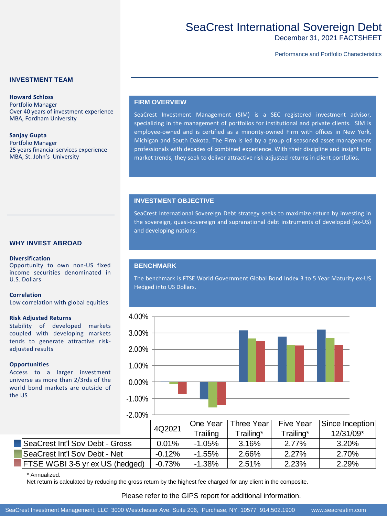# SeaCrest International Sovereign Debt

December 31, 2021 FACTSHEET

Performance and Portfolio Characteristics

## **INVESTMENT TEAM**

**Howard Schloss** Portfolio Manager Over 40 years of investment experience MBA, Fordham University

**Sanjay Gupta** Portfolio Manager 25 years financial services experience MBA, St. John's University

### **FIRM OVERVIEW**

SeaCrest Investment Management (SIM) is a SEC registered investment advisor, specializing in the management of portfolios for institutional and private clients. SIM is employee-owned and is certified as a minority-owned Firm with offices in New York, Michigan and South Dakota. The Firm is led by a group of seasoned asset management professionals with decades of combined experience. With their discipline and insight into market trends, they seek to deliver attractive risk-adjusted returns in client portfolios.

### **INVESTMENT OBJECTIVE**

SeaCrest International Sovereign Debt strategy seeks to maximize return by investing in the sovereign, quasi-sovereign and supranational debt instruments of developed (ex-US) and developing nations.

### **WHY INVEST ABROAD**

#### **Diversification**

Opportunity to own non-US fixed income securities denominated in U.S. Dollars

#### **Correlation**

Low correlation with global equities

#### **Risk Adjusted Returns**

Stability of developed markets coupled with developing markets tends to generate attractive riskadjusted results

#### **Opportunities**

Access to a larger investment universe as more than 2/3rds of the world bond markets are outside of the US

## **BENCHMARK**

The benchmark is FTSE World Government Global Bond Index 3 to 5 Year Maturity ex-US Hedged into US Dollars.



#### \* Annualized.

Net return is calculated by reducing the gross return by the highest fee charged for any client in the composite.

# Please refer to the GIPS report for additional information.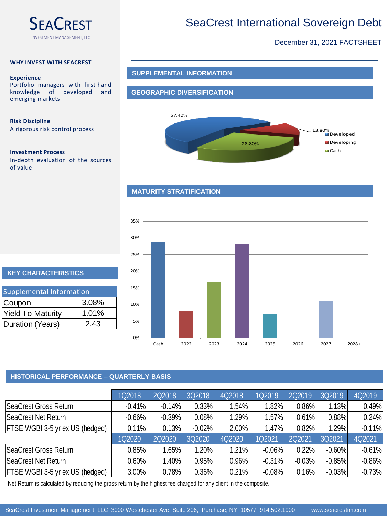

# SeaCrest International Sovereign Debt

# December 31, 2021 FACTSHEET

### **WHY INVEST WITH SEACREST**

#### **Experience**

Portfolio managers with first-hand knowledge of developed and emerging markets

### **Risk Discipline**

A rigorous risk control process

### **Investment Process**

In-depth evaluation of the sources of value

## **SUPPLEMENTAL INFORMATION**

## **GEOGRAPHIC DIVERSIFICATION**



## **MATURITY STRATIFICATION**



# **KEY CHARACTERISTICS**

| Supplemental Information |       |  |  |  |  |  |  |
|--------------------------|-------|--|--|--|--|--|--|
| Coupon                   | 3.08% |  |  |  |  |  |  |
| <b>Yield To Maturity</b> | 1.01% |  |  |  |  |  |  |
| Duration (Years)         | 2.43  |  |  |  |  |  |  |

# **HISTORICAL PERFORMANCE – QUARTERLY BASIS**

|                                 | 1Q2018   | 2Q2018   | 3Q2018   | 4Q2018 | 1Q2019   | 2Q2019   | 3Q2019   | 4Q2019   |
|---------------------------------|----------|----------|----------|--------|----------|----------|----------|----------|
| SeaCrest Gross Return           | $-0.41%$ | $-0.14%$ | 0.33%    | 1.54%  | 1.82%    | 0.86%    | 1.13%    | 0.49%    |
| SeaCrest Net Return             | $-0.66%$ | $-0.39%$ | 0.08%    | 1.29%  | 1.57%    | 0.61%    | 0.88%    | 0.24%    |
| FTSE WGBI 3-5 yr ex US (hedged) | 0.11%    | 0.13%    | $-0.02%$ | 2.00%  | 1.47%    | 0.82%    | 1.29%    | $-0.11%$ |
|                                 | 1Q2020   | 2Q2020   | 3Q2020   | 4Q2020 | 1Q2021   | 2Q2021   | 3Q2021   | 4Q2021   |
| SeaCrest Gross Return           | 0.85%    | $1.65\%$ | 1.20%    | 1.21%  | $-0.06%$ | 0.22%    | $-0.60%$ | $-0.61%$ |
| SeaCrest Net Return             | $0.60\%$ | 1.40%    | 0.95%    | 0.96%  | $-0.31%$ | $-0.03%$ | $-0.85%$ | $-0.86%$ |
| FTSE WGBI 3-5 yr ex US (hedged) | 3.00%    | 0.78%    | 0.36%    | 0.21%  | $-0.08%$ | 0.16%    | $-0.03%$ | $-0.73%$ |

Net Return is calculated by reducing the gross return by the highest fee charged for any client in the composite.